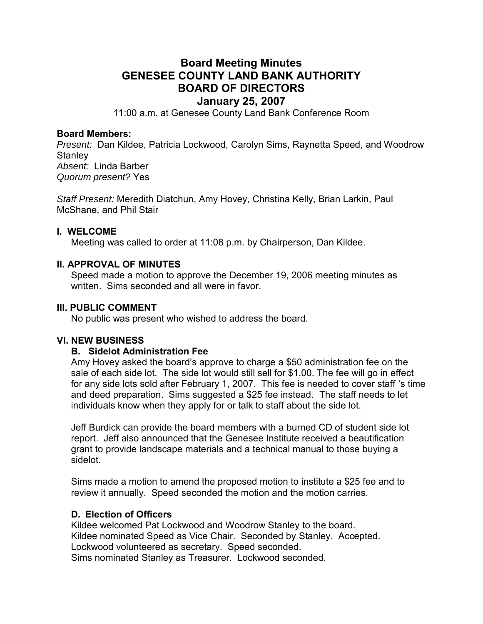# **Board Meeting Minutes GENESEE COUNTY LAND BANK AUTHORITY BOARD OF DIRECTORS January 25, 2007**

11:00 a.m. at Genesee County Land Bank Conference Room

#### **Board Members:**

*Present:* Dan Kildee, Patricia Lockwood, Carolyn Sims, Raynetta Speed, and Woodrow **Stanley** *Absent:* Linda Barber *Quorum present?* Yes

*Staff Present:* Meredith Diatchun, Amy Hovey, Christina Kelly, Brian Larkin, Paul McShane, and Phil Stair

#### **I. WELCOME**

Meeting was called to order at 11:08 p.m. by Chairperson, Dan Kildee.

#### **II. APPROVAL OF MINUTES**

Speed made a motion to approve the December 19, 2006 meeting minutes as written. Sims seconded and all were in favor.

#### **III. PUBLIC COMMENT**

No public was present who wished to address the board.

#### **VI. NEW BUSINESS**

#### **B. Sidelot Administration Fee**

Amy Hovey asked the board's approve to charge a \$50 administration fee on the sale of each side lot. The side lot would still sell for \$1.00. The fee will go in effect for any side lots sold after February 1, 2007. This fee is needed to cover staff 's time and deed preparation. Sims suggested a \$25 fee instead. The staff needs to let individuals know when they apply for or talk to staff about the side lot.

Jeff Burdick can provide the board members with a burned CD of student side lot report. Jeff also announced that the Genesee Institute received a beautification grant to provide landscape materials and a technical manual to those buying a sidelot.

Sims made a motion to amend the proposed motion to institute a \$25 fee and to review it annually. Speed seconded the motion and the motion carries.

#### **D. Election of Officers**

Kildee welcomed Pat Lockwood and Woodrow Stanley to the board. Kildee nominated Speed as Vice Chair. Seconded by Stanley. Accepted. Lockwood volunteered as secretary. Speed seconded. Sims nominated Stanley as Treasurer. Lockwood seconded.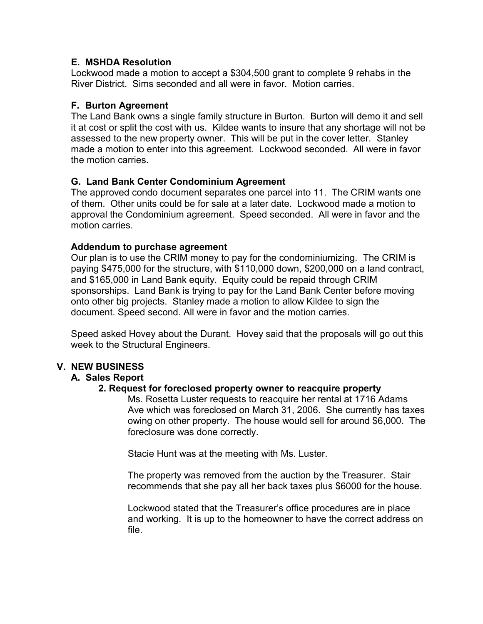#### **E. MSHDA Resolution**

Lockwood made a motion to accept a \$304,500 grant to complete 9 rehabs in the River District. Sims seconded and all were in favor. Motion carries.

## **F. Burton Agreement**

The Land Bank owns a single family structure in Burton. Burton will demo it and sell it at cost or split the cost with us. Kildee wants to insure that any shortage will not be assessed to the new property owner. This will be put in the cover letter. Stanley made a motion to enter into this agreement. Lockwood seconded. All were in favor the motion carries.

## **G. Land Bank Center Condominium Agreement**

The approved condo document separates one parcel into 11. The CRIM wants one of them. Other units could be for sale at a later date. Lockwood made a motion to approval the Condominium agreement. Speed seconded. All were in favor and the motion carries.

#### **Addendum to purchase agreement**

Our plan is to use the CRIM money to pay for the condominiumizing. The CRIM is paying \$475,000 for the structure, with \$110,000 down, \$200,000 on a land contract, and \$165,000 in Land Bank equity. Equity could be repaid through CRIM sponsorships. Land Bank is trying to pay for the Land Bank Center before moving onto other big projects. Stanley made a motion to allow Kildee to sign the document. Speed second. All were in favor and the motion carries.

Speed asked Hovey about the Durant. Hovey said that the proposals will go out this week to the Structural Engineers.

# **V. NEW BUSINESS**

#### **A. Sales Report**

#### **2. Request for foreclosed property owner to reacquire property**

Ms. Rosetta Luster requests to reacquire her rental at 1716 Adams Ave which was foreclosed on March 31, 2006. She currently has taxes owing on other property. The house would sell for around \$6,000. The foreclosure was done correctly.

Stacie Hunt was at the meeting with Ms. Luster.

The property was removed from the auction by the Treasurer. Stair recommends that she pay all her back taxes plus \$6000 for the house.

Lockwood stated that the Treasurer's office procedures are in place and working. It is up to the homeowner to have the correct address on file.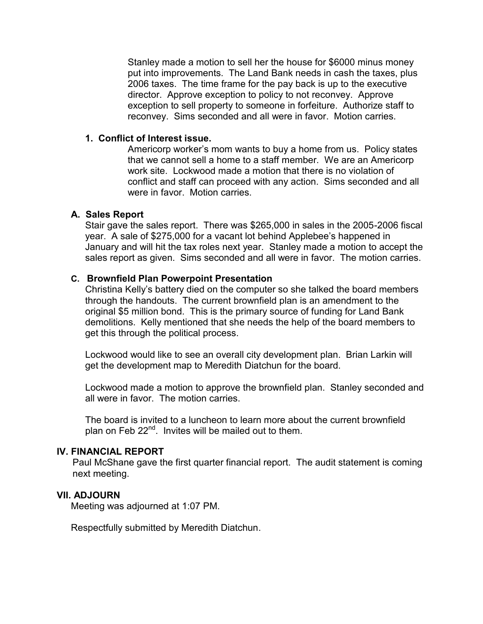Stanley made a motion to sell her the house for \$6000 minus money put into improvements. The Land Bank needs in cash the taxes, plus 2006 taxes. The time frame for the pay back is up to the executive director. Approve exception to policy to not reconvey. Approve exception to sell property to someone in forfeiture. Authorize staff to reconvey. Sims seconded and all were in favor. Motion carries.

#### **1. Conflict of Interest issue.**

Americorp worker's mom wants to buy a home from us. Policy states that we cannot sell a home to a staff member. We are an Americorp work site. Lockwood made a motion that there is no violation of conflict and staff can proceed with any action. Sims seconded and all were in favor. Motion carries.

#### **A. Sales Report**

Stair gave the sales report. There was \$265,000 in sales in the 2005-2006 fiscal year. A sale of \$275,000 for a vacant lot behind Applebee's happened in January and will hit the tax roles next year. Stanley made a motion to accept the sales report as given. Sims seconded and all were in favor. The motion carries.

#### **C. Brownfield Plan Powerpoint Presentation**

Christina Kelly's battery died on the computer so she talked the board members through the handouts. The current brownfield plan is an amendment to the original \$5 million bond. This is the primary source of funding for Land Bank demolitions. Kelly mentioned that she needs the help of the board members to get this through the political process.

 Lockwood would like to see an overall city development plan. Brian Larkin will get the development map to Meredith Diatchun for the board.

 Lockwood made a motion to approve the brownfield plan. Stanley seconded and all were in favor. The motion carries.

 The board is invited to a luncheon to learn more about the current brownfield plan on Feb 22<sup>nd</sup>. Invites will be mailed out to them.

#### **IV. FINANCIAL REPORT**

 Paul McShane gave the first quarter financial report. The audit statement is coming next meeting.

#### **VII. ADJOURN**

Meeting was adjourned at 1:07 PM.

Respectfully submitted by Meredith Diatchun.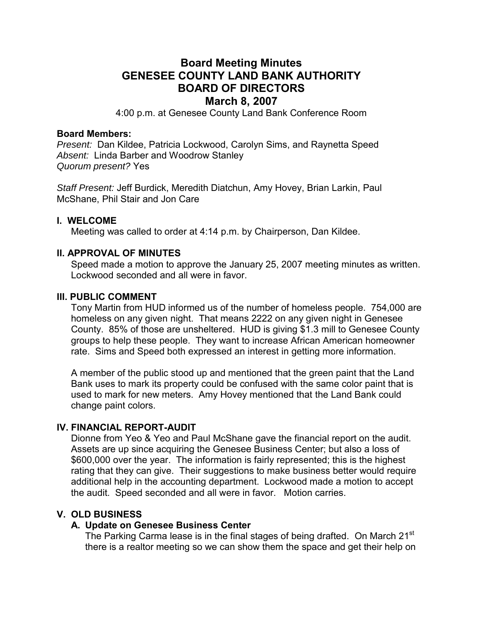# **Board Meeting Minutes GENESEE COUNTY LAND BANK AUTHORITY BOARD OF DIRECTORS March 8, 2007**

4:00 p.m. at Genesee County Land Bank Conference Room

#### **Board Members:**

*Present:* Dan Kildee, Patricia Lockwood, Carolyn Sims, and Raynetta Speed *Absent:* Linda Barber and Woodrow Stanley *Quorum present?* Yes

*Staff Present:* Jeff Burdick, Meredith Diatchun, Amy Hovey, Brian Larkin, Paul McShane, Phil Stair and Jon Care

#### **I. WELCOME**

Meeting was called to order at 4:14 p.m. by Chairperson, Dan Kildee.

#### **II. APPROVAL OF MINUTES**

Speed made a motion to approve the January 25, 2007 meeting minutes as written. Lockwood seconded and all were in favor.

#### **III. PUBLIC COMMENT**

Tony Martin from HUD informed us of the number of homeless people. 754,000 are homeless on any given night. That means 2222 on any given night in Genesee County. 85% of those are unsheltered. HUD is giving \$1.3 mill to Genesee County groups to help these people. They want to increase African American homeowner rate. Sims and Speed both expressed an interest in getting more information.

A member of the public stood up and mentioned that the green paint that the Land Bank uses to mark its property could be confused with the same color paint that is used to mark for new meters. Amy Hovey mentioned that the Land Bank could change paint colors.

#### **IV. FINANCIAL REPORT-AUDIT**

Dionne from Yeo & Yeo and Paul McShane gave the financial report on the audit. Assets are up since acquiring the Genesee Business Center; but also a loss of \$600,000 over the year. The information is fairly represented; this is the highest rating that they can give. Their suggestions to make business better would require additional help in the accounting department. Lockwood made a motion to accept the audit. Speed seconded and all were in favor. Motion carries.

#### **V. OLD BUSINESS**

#### **A. Update on Genesee Business Center**

The Parking Carma lease is in the final stages of being drafted. On March 21<sup>st</sup> there is a realtor meeting so we can show them the space and get their help on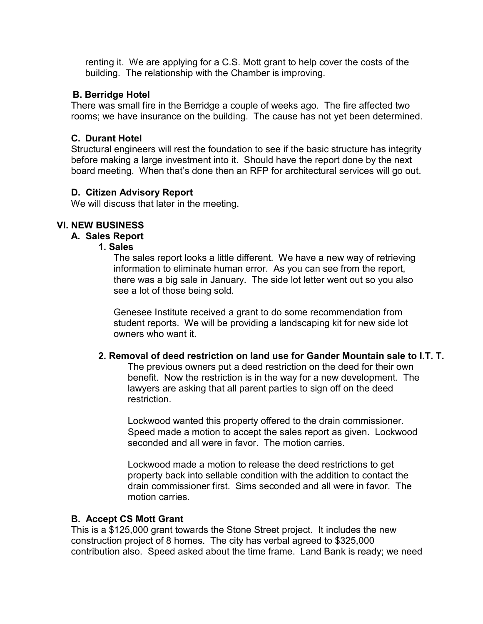renting it. We are applying for a C.S. Mott grant to help cover the costs of the building. The relationship with the Chamber is improving.

### **B. Berridge Hotel**

There was small fire in the Berridge a couple of weeks ago. The fire affected two rooms; we have insurance on the building. The cause has not yet been determined.

## **C. Durant Hotel**

Structural engineers will rest the foundation to see if the basic structure has integrity before making a large investment into it. Should have the report done by the next board meeting. When that's done then an RFP for architectural services will go out.

## **D. Citizen Advisory Report**

We will discuss that later in the meeting.

## **VI. NEW BUSINESS**

#### **A. Sales Report**

#### **1. Sales**

The sales report looks a little different. We have a new way of retrieving information to eliminate human error. As you can see from the report, there was a big sale in January. The side lot letter went out so you also see a lot of those being sold.

Genesee Institute received a grant to do some recommendation from student reports. We will be providing a landscaping kit for new side lot owners who want it.

# **2. Removal of deed restriction on land use for Gander Mountain sale to I.T. T.**

The previous owners put a deed restriction on the deed for their own benefit. Now the restriction is in the way for a new development. The lawyers are asking that all parent parties to sign off on the deed restriction.

Lockwood wanted this property offered to the drain commissioner. Speed made a motion to accept the sales report as given. Lockwood seconded and all were in favor. The motion carries.

Lockwood made a motion to release the deed restrictions to get property back into sellable condition with the addition to contact the drain commissioner first. Sims seconded and all were in favor. The motion carries.

#### **B. Accept CS Mott Grant**

This is a \$125,000 grant towards the Stone Street project. It includes the new construction project of 8 homes. The city has verbal agreed to \$325,000 contribution also. Speed asked about the time frame. Land Bank is ready; we need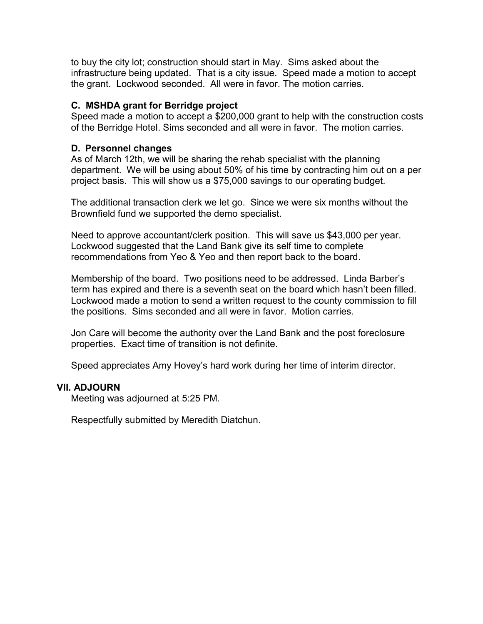to buy the city lot; construction should start in May. Sims asked about the infrastructure being updated. That is a city issue. Speed made a motion to accept the grant. Lockwood seconded. All were in favor. The motion carries.

### **C. MSHDA grant for Berridge project**

Speed made a motion to accept a \$200,000 grant to help with the construction costs of the Berridge Hotel. Sims seconded and all were in favor. The motion carries.

### **D. Personnel changes**

As of March 12th, we will be sharing the rehab specialist with the planning department. We will be using about 50% of his time by contracting him out on a per project basis. This will show us a \$75,000 savings to our operating budget.

The additional transaction clerk we let go. Since we were six months without the Brownfield fund we supported the demo specialist.

Need to approve accountant/clerk position. This will save us \$43,000 per year. Lockwood suggested that the Land Bank give its self time to complete recommendations from Yeo & Yeo and then report back to the board.

Membership of the board. Two positions need to be addressed. Linda Barber's term has expired and there is a seventh seat on the board which hasn't been filled. Lockwood made a motion to send a written request to the county commission to fill the positions. Sims seconded and all were in favor. Motion carries.

Jon Care will become the authority over the Land Bank and the post foreclosure properties. Exact time of transition is not definite.

Speed appreciates Amy Hovey's hard work during her time of interim director.

#### **VII. ADJOURN**

Meeting was adjourned at 5:25 PM.

Respectfully submitted by Meredith Diatchun.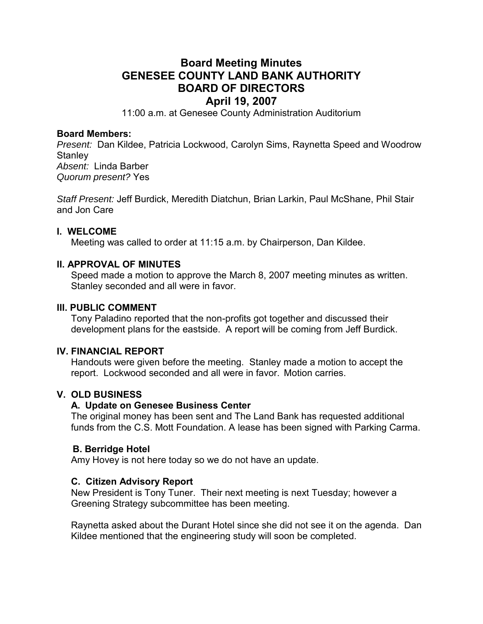# **Board Meeting Minutes GENESEE COUNTY LAND BANK AUTHORITY BOARD OF DIRECTORS April 19, 2007**

11:00 a.m. at Genesee County Administration Auditorium

#### **Board Members:**

*Present:* Dan Kildee, Patricia Lockwood, Carolyn Sims, Raynetta Speed and Woodrow **Stanley** *Absent:* Linda Barber *Quorum present?* Yes

*Staff Present:* Jeff Burdick, Meredith Diatchun, Brian Larkin, Paul McShane, Phil Stair and Jon Care

#### **I. WELCOME**

Meeting was called to order at 11:15 a.m. by Chairperson, Dan Kildee.

#### **II. APPROVAL OF MINUTES**

Speed made a motion to approve the March 8, 2007 meeting minutes as written. Stanley seconded and all were in favor.

#### **III. PUBLIC COMMENT**

Tony Paladino reported that the non-profits got together and discussed their development plans for the eastside. A report will be coming from Jeff Burdick.

#### **IV. FINANCIAL REPORT**

Handouts were given before the meeting. Stanley made a motion to accept the report. Lockwood seconded and all were in favor. Motion carries.

#### **V. OLD BUSINESS**

#### **A. Update on Genesee Business Center**

The original money has been sent and The Land Bank has requested additional funds from the C.S. Mott Foundation. A lease has been signed with Parking Carma.

#### **B. Berridge Hotel**

Amy Hovey is not here today so we do not have an update.

#### **C. Citizen Advisory Report**

New President is Tony Tuner. Their next meeting is next Tuesday; however a Greening Strategy subcommittee has been meeting.

Raynetta asked about the Durant Hotel since she did not see it on the agenda. Dan Kildee mentioned that the engineering study will soon be completed.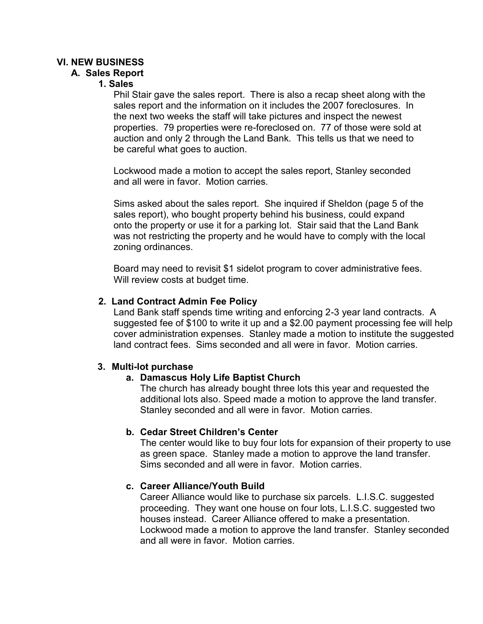# **VI. NEW BUSINESS**

### **A. Sales Report**

### **1. Sales**

Phil Stair gave the sales report. There is also a recap sheet along with the sales report and the information on it includes the 2007 foreclosures. In the next two weeks the staff will take pictures and inspect the newest properties. 79 properties were re-foreclosed on. 77 of those were sold at auction and only 2 through the Land Bank. This tells us that we need to be careful what goes to auction.

Lockwood made a motion to accept the sales report, Stanley seconded and all were in favor. Motion carries.

Sims asked about the sales report. She inquired if Sheldon (page 5 of the sales report), who bought property behind his business, could expand onto the property or use it for a parking lot. Stair said that the Land Bank was not restricting the property and he would have to comply with the local zoning ordinances.

Board may need to revisit \$1 sidelot program to cover administrative fees. Will review costs at budget time.

#### **2. Land Contract Admin Fee Policy**

Land Bank staff spends time writing and enforcing 2-3 year land contracts. A suggested fee of \$100 to write it up and a \$2.00 payment processing fee will help cover administration expenses. Stanley made a motion to institute the suggested land contract fees. Sims seconded and all were in favor. Motion carries.

#### **3. Multi-lot purchase**

# **a. Damascus Holy Life Baptist Church**

The church has already bought three lots this year and requested the additional lots also. Speed made a motion to approve the land transfer. Stanley seconded and all were in favor. Motion carries.

#### **b. Cedar Street Children's Center**

The center would like to buy four lots for expansion of their property to use as green space. Stanley made a motion to approve the land transfer. Sims seconded and all were in favor. Motion carries.

#### **c. Career Alliance/Youth Build**

Career Alliance would like to purchase six parcels. L.I.S.C. suggested proceeding. They want one house on four lots, L.I.S.C. suggested two houses instead. Career Alliance offered to make a presentation. Lockwood made a motion to approve the land transfer. Stanley seconded and all were in favor. Motion carries.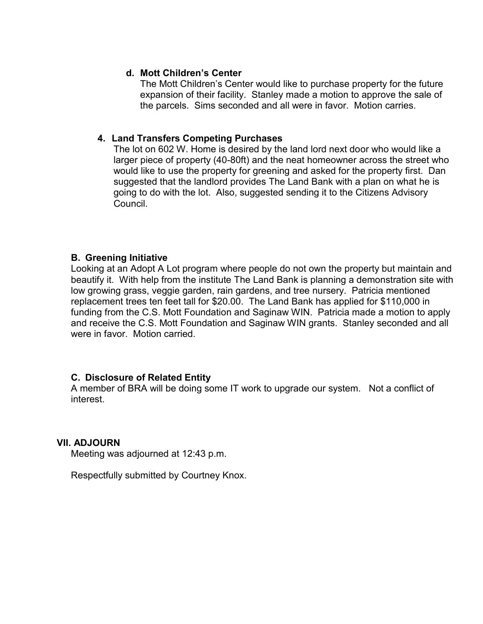### **d. Mott Children's Center**

The Mott Children's Center would like to purchase property for the future expansion of their facility. Stanley made a motion to approve the sale of the parcels. Sims seconded and all were in favor. Motion carries.

## **4. Land Transfers Competing Purchases**

The lot on 602 W. Home is desired by the land lord next door who would like a larger piece of property (40-80ft) and the neat homeowner across the street who would like to use the property for greening and asked for the property first. Dan suggested that the landlord provides The Land Bank with a plan on what he is going to do with the lot. Also, suggested sending it to the Citizens Advisory Council.

#### **B. Greening Initiative**

Looking at an Adopt A Lot program where people do not own the property but maintain and beautify it. With help from the institute The Land Bank is planning a demonstration site with low growing grass, veggie garden, rain gardens, and tree nursery. Patricia mentioned replacement trees ten feet tall for \$20.00. The Land Bank has applied for \$110,000 in funding from the C.S. Mott Foundation and Saginaw WIN. Patricia made a motion to apply and receive the C.S. Mott Foundation and Saginaw WIN grants. Stanley seconded and all were in favor. Motion carried.

#### **C. Disclosure of Related Entity**

A member of BRA will be doing some IT work to upgrade our system. Not a conflict of interest.

#### **VII. ADJOURN**

Meeting was adjourned at 12:43 p.m.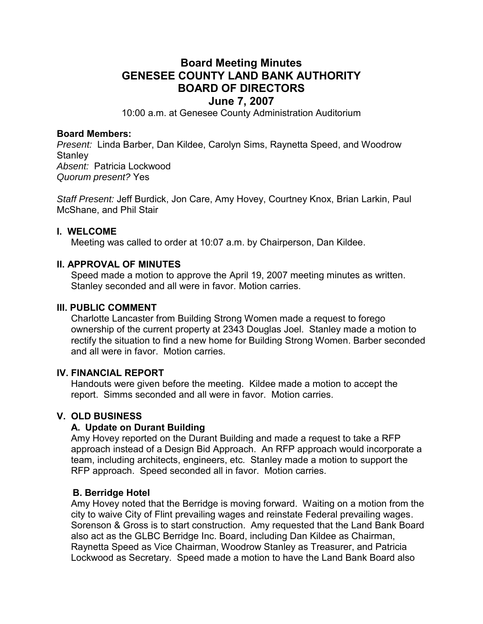# **Board Meeting Minutes GENESEE COUNTY LAND BANK AUTHORITY BOARD OF DIRECTORS June 7, 2007**

10:00 a.m. at Genesee County Administration Auditorium

#### **Board Members:**

*Present:* Linda Barber, Dan Kildee, Carolyn Sims, Raynetta Speed, and Woodrow **Stanley** *Absent:* Patricia Lockwood *Quorum present?* Yes

*Staff Present:* Jeff Burdick, Jon Care, Amy Hovey, Courtney Knox, Brian Larkin, Paul McShane, and Phil Stair

#### **I. WELCOME**

Meeting was called to order at 10:07 a.m. by Chairperson, Dan Kildee.

## **II. APPROVAL OF MINUTES**

Speed made a motion to approve the April 19, 2007 meeting minutes as written. Stanley seconded and all were in favor. Motion carries.

#### **III. PUBLIC COMMENT**

Charlotte Lancaster from Building Strong Women made a request to forego ownership of the current property at 2343 Douglas Joel. Stanley made a motion to rectify the situation to find a new home for Building Strong Women. Barber seconded and all were in favor. Motion carries.

#### **IV. FINANCIAL REPORT**

Handouts were given before the meeting. Kildee made a motion to accept the report. Simms seconded and all were in favor. Motion carries.

# **V. OLD BUSINESS**

# **A. Update on Durant Building**

Amy Hovey reported on the Durant Building and made a request to take a RFP approach instead of a Design Bid Approach. An RFP approach would incorporate a team, including architects, engineers, etc. Stanley made a motion to support the RFP approach. Speed seconded all in favor. Motion carries.

#### **B. Berridge Hotel**

Amy Hovey noted that the Berridge is moving forward. Waiting on a motion from the city to waive City of Flint prevailing wages and reinstate Federal prevailing wages. Sorenson & Gross is to start construction. Amy requested that the Land Bank Board also act as the GLBC Berridge Inc. Board, including Dan Kildee as Chairman, Raynetta Speed as Vice Chairman, Woodrow Stanley as Treasurer, and Patricia Lockwood as Secretary. Speed made a motion to have the Land Bank Board also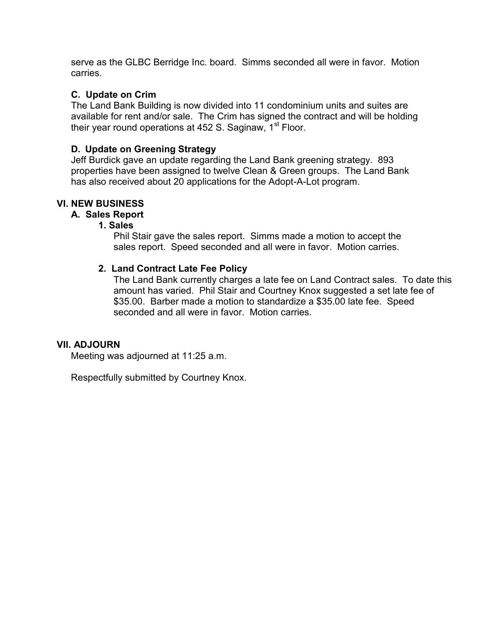serve as the GLBC Berridge Inc. board. Simms seconded all were in favor. Motion carries.

## **C. Update on Crim**

The Land Bank Building is now divided into 11 condominium units and suites are available for rent and/or sale. The Crim has signed the contract and will be holding their year round operations at 452 S. Saginaw, 1<sup>st</sup> Floor.

## **D. Update on Greening Strategy**

Jeff Burdick gave an update regarding the Land Bank greening strategy. 893 properties have been assigned to twelve Clean & Green groups. The Land Bank has also received about 20 applications for the Adopt-A-Lot program.

## **VI. NEW BUSINESS**

#### **A. Sales Report**

#### **1. Sales**

Phil Stair gave the sales report. Simms made a motion to accept the sales report. Speed seconded and all were in favor. Motion carries.

#### **2. Land Contract Late Fee Policy**

The Land Bank currently charges a late fee on Land Contract sales. To date this amount has varied. Phil Stair and Courtney Knox suggested a set late fee of \$35.00. Barber made a motion to standardize a \$35.00 late fee. Speed seconded and all were in favor. Motion carries.

#### **VII. ADJOURN**

Meeting was adjourned at 11:25 a.m.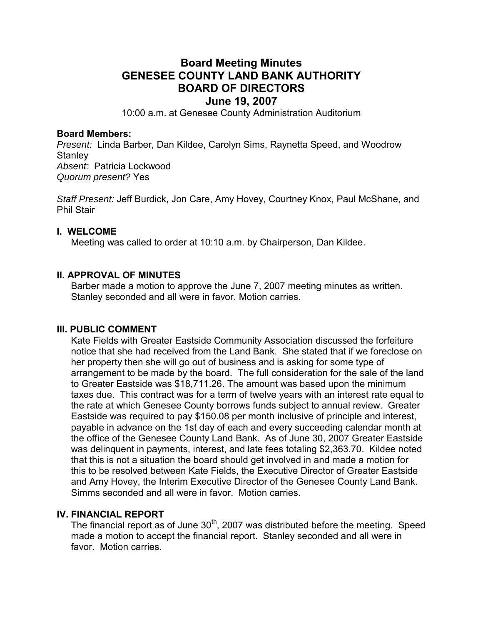# **Board Meeting Minutes GENESEE COUNTY LAND BANK AUTHORITY BOARD OF DIRECTORS June 19, 2007**

10:00 a.m. at Genesee County Administration Auditorium

#### **Board Members:**

*Present:* Linda Barber, Dan Kildee, Carolyn Sims, Raynetta Speed, and Woodrow **Stanley** *Absent:* Patricia Lockwood *Quorum present?* Yes

*Staff Present:* Jeff Burdick, Jon Care, Amy Hovey, Courtney Knox, Paul McShane, and Phil Stair

#### **I. WELCOME**

Meeting was called to order at 10:10 a.m. by Chairperson, Dan Kildee.

## **II. APPROVAL OF MINUTES**

Barber made a motion to approve the June 7, 2007 meeting minutes as written. Stanley seconded and all were in favor. Motion carries.

#### **III. PUBLIC COMMENT**

Kate Fields with Greater Eastside Community Association discussed the forfeiture notice that she had received from the Land Bank. She stated that if we foreclose on her property then she will go out of business and is asking for some type of arrangement to be made by the board. The full consideration for the sale of the land to Greater Eastside was \$18,711.26. The amount was based upon the minimum taxes due. This contract was for a term of twelve years with an interest rate equal to the rate at which Genesee County borrows funds subject to annual review. Greater Eastside was required to pay \$150.08 per month inclusive of principle and interest, payable in advance on the 1st day of each and every succeeding calendar month at the office of the Genesee County Land Bank. As of June 30, 2007 Greater Eastside was delinquent in payments, interest, and late fees totaling \$2,363.70. Kildee noted that this is not a situation the board should get involved in and made a motion for this to be resolved between Kate Fields, the Executive Director of Greater Eastside and Amy Hovey, the Interim Executive Director of the Genesee County Land Bank. Simms seconded and all were in favor. Motion carries.

#### **IV. FINANCIAL REPORT**

The financial report as of June  $30<sup>th</sup>$ , 2007 was distributed before the meeting. Speed made a motion to accept the financial report. Stanley seconded and all were in favor. Motion carries.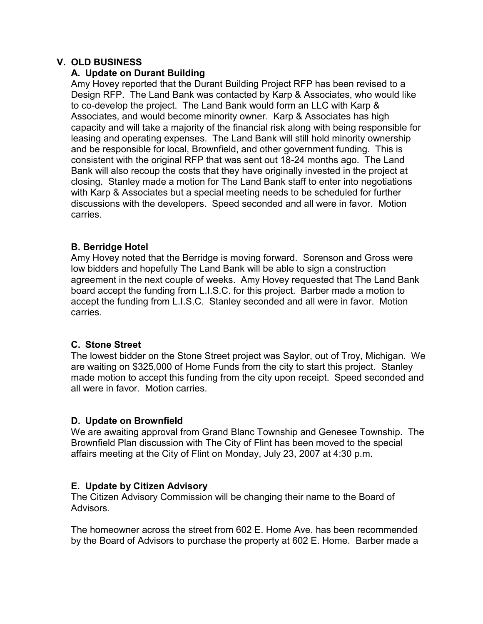## **V. OLD BUSINESS**

## **A. Update on Durant Building**

Amy Hovey reported that the Durant Building Project RFP has been revised to a Design RFP. The Land Bank was contacted by Karp & Associates, who would like to co-develop the project. The Land Bank would form an LLC with Karp & Associates, and would become minority owner. Karp & Associates has high capacity and will take a majority of the financial risk along with being responsible for leasing and operating expenses. The Land Bank will still hold minority ownership and be responsible for local, Brownfield, and other government funding. This is consistent with the original RFP that was sent out 18-24 months ago. The Land Bank will also recoup the costs that they have originally invested in the project at closing. Stanley made a motion for The Land Bank staff to enter into negotiations with Karp & Associates but a special meeting needs to be scheduled for further discussions with the developers. Speed seconded and all were in favor. Motion carries.

## **B. Berridge Hotel**

Amy Hovey noted that the Berridge is moving forward. Sorenson and Gross were low bidders and hopefully The Land Bank will be able to sign a construction agreement in the next couple of weeks. Amy Hovey requested that The Land Bank board accept the funding from L.I.S.C. for this project. Barber made a motion to accept the funding from L.I.S.C. Stanley seconded and all were in favor. Motion carries.

# **C. Stone Street**

The lowest bidder on the Stone Street project was Saylor, out of Troy, Michigan. We are waiting on \$325,000 of Home Funds from the city to start this project. Stanley made motion to accept this funding from the city upon receipt. Speed seconded and all were in favor. Motion carries.

#### **D. Update on Brownfield**

We are awaiting approval from Grand Blanc Township and Genesee Township. The Brownfield Plan discussion with The City of Flint has been moved to the special affairs meeting at the City of Flint on Monday, July 23, 2007 at 4:30 p.m.

# **E. Update by Citizen Advisory**

The Citizen Advisory Commission will be changing their name to the Board of Advisors.

The homeowner across the street from 602 E. Home Ave. has been recommended by the Board of Advisors to purchase the property at 602 E. Home. Barber made a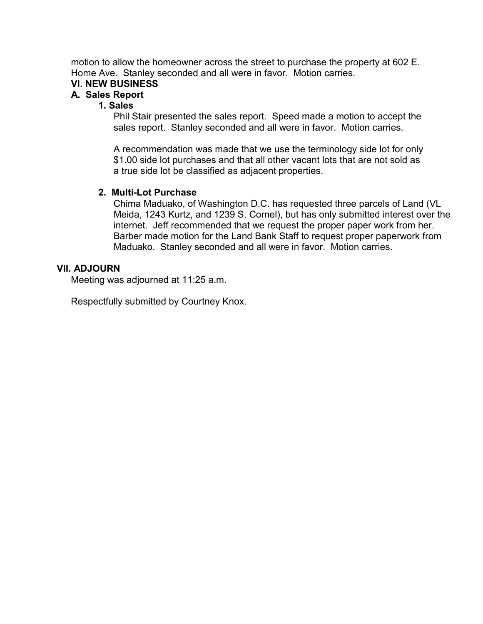motion to allow the homeowner across the street to purchase the property at 602 E. Home Ave. Stanley seconded and all were in favor. Motion carries.

# **VI. NEW BUSINESS**

#### **A. Sales Report**

### **1. Sales**

Phil Stair presented the sales report. Speed made a motion to accept the sales report. Stanley seconded and all were in favor. Motion carries.

A recommendation was made that we use the terminology side lot for only \$1.00 side lot purchases and that all other vacant lots that are not sold as a true side lot be classified as adjacent properties.

#### **2. Multi-Lot Purchase**

Chima Maduako, of Washington D.C. has requested three parcels of Land (VL Meida, 1243 Kurtz, and 1239 S. Cornel), but has only submitted interest over the internet. Jeff recommended that we request the proper paper work from her. Barber made motion for the Land Bank Staff to request proper paperwork from Maduako. Stanley seconded and all were in favor. Motion carries.

#### **VII. ADJOURN**

Meeting was adjourned at 11:25 a.m.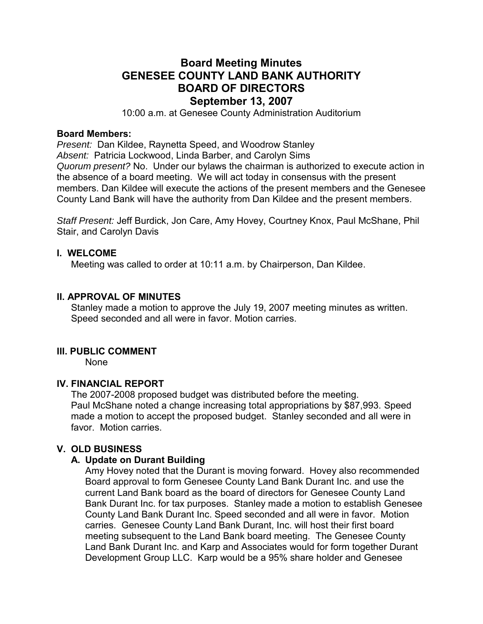# **Board Meeting Minutes GENESEE COUNTY LAND BANK AUTHORITY BOARD OF DIRECTORS September 13, 2007**

10:00 a.m. at Genesee County Administration Auditorium

#### **Board Members:**

*Present:* Dan Kildee, Raynetta Speed, and Woodrow Stanley *Absent:* Patricia Lockwood, Linda Barber, and Carolyn Sims *Quorum present?* No. Under our bylaws the chairman is authorized to execute action in the absence of a board meeting. We will act today in consensus with the present members. Dan Kildee will execute the actions of the present members and the Genesee County Land Bank will have the authority from Dan Kildee and the present members.

*Staff Present:* Jeff Burdick, Jon Care, Amy Hovey, Courtney Knox, Paul McShane, Phil Stair, and Carolyn Davis

#### **I. WELCOME**

Meeting was called to order at 10:11 a.m. by Chairperson, Dan Kildee.

#### **II. APPROVAL OF MINUTES**

Stanley made a motion to approve the July 19, 2007 meeting minutes as written. Speed seconded and all were in favor. Motion carries.

#### **III. PUBLIC COMMENT**

None

#### **IV. FINANCIAL REPORT**

The 2007-2008 proposed budget was distributed before the meeting. Paul McShane noted a change increasing total appropriations by \$87,993. Speed made a motion to accept the proposed budget. Stanley seconded and all were in favor. Motion carries.

#### **V. OLD BUSINESS**

#### **A. Update on Durant Building**

Amy Hovey noted that the Durant is moving forward. Hovey also recommended Board approval to form Genesee County Land Bank Durant Inc. and use the current Land Bank board as the board of directors for Genesee County Land Bank Durant Inc. for tax purposes. Stanley made a motion to establish Genesee County Land Bank Durant Inc. Speed seconded and all were in favor. Motion carries. Genesee County Land Bank Durant, Inc. will host their first board meeting subsequent to the Land Bank board meeting. The Genesee County Land Bank Durant Inc. and Karp and Associates would for form together Durant Development Group LLC. Karp would be a 95% share holder and Genesee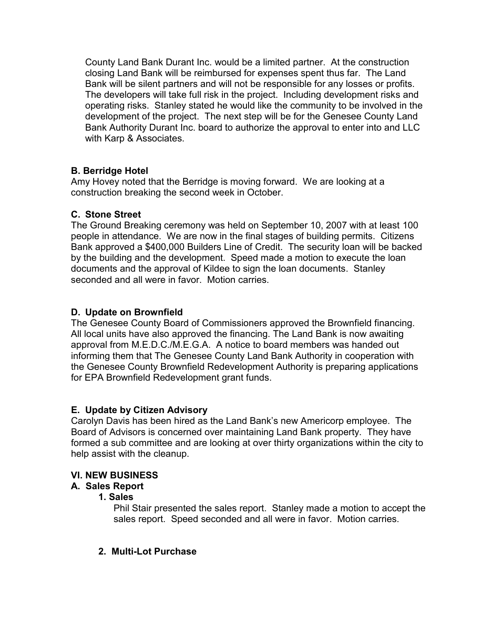County Land Bank Durant Inc. would be a limited partner. At the construction closing Land Bank will be reimbursed for expenses spent thus far. The Land Bank will be silent partners and will not be responsible for any losses or profits. The developers will take full risk in the project. Including development risks and operating risks. Stanley stated he would like the community to be involved in the development of the project. The next step will be for the Genesee County Land Bank Authority Durant Inc. board to authorize the approval to enter into and LLC with Karp & Associates.

# **B. Berridge Hotel**

Amy Hovey noted that the Berridge is moving forward. We are looking at a construction breaking the second week in October.

# **C. Stone Street**

The Ground Breaking ceremony was held on September 10, 2007 with at least 100 people in attendance. We are now in the final stages of building permits. Citizens Bank approved a \$400,000 Builders Line of Credit. The security loan will be backed by the building and the development. Speed made a motion to execute the loan documents and the approval of Kildee to sign the loan documents. Stanley seconded and all were in favor. Motion carries.

# **D. Update on Brownfield**

The Genesee County Board of Commissioners approved the Brownfield financing. All local units have also approved the financing. The Land Bank is now awaiting approval from M.E.D.C./M.E.G.A. A notice to board members was handed out informing them that The Genesee County Land Bank Authority in cooperation with the Genesee County Brownfield Redevelopment Authority is preparing applications for EPA Brownfield Redevelopment grant funds.

#### **E. Update by Citizen Advisory**

Carolyn Davis has been hired as the Land Bank's new Americorp employee. The Board of Advisors is concerned over maintaining Land Bank property. They have formed a sub committee and are looking at over thirty organizations within the city to help assist with the cleanup.

#### **VI. NEW BUSINESS**

# **A. Sales Report**

#### **1. Sales**

Phil Stair presented the sales report. Stanley made a motion to accept the sales report. Speed seconded and all were in favor. Motion carries.

# **2. Multi-Lot Purchase**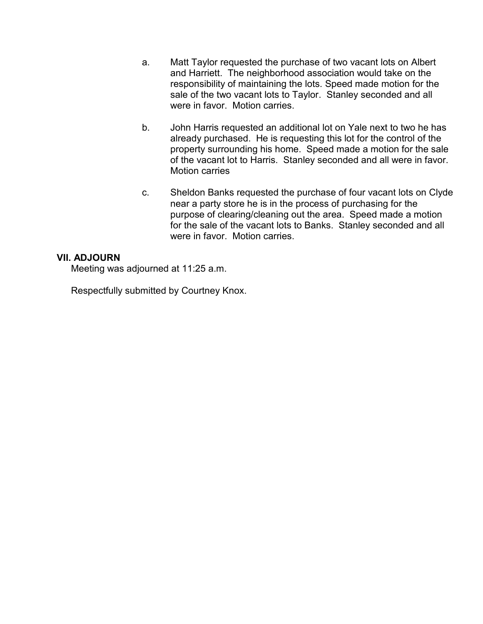- a. Matt Taylor requested the purchase of two vacant lots on Albert and Harriett. The neighborhood association would take on the responsibility of maintaining the lots. Speed made motion for the sale of the two vacant lots to Taylor. Stanley seconded and all were in favor. Motion carries.
- b. John Harris requested an additional lot on Yale next to two he has already purchased. He is requesting this lot for the control of the property surrounding his home. Speed made a motion for the sale of the vacant lot to Harris. Stanley seconded and all were in favor. Motion carries
- c. Sheldon Banks requested the purchase of four vacant lots on Clyde near a party store he is in the process of purchasing for the purpose of clearing/cleaning out the area. Speed made a motion for the sale of the vacant lots to Banks. Stanley seconded and all were in favor. Motion carries.

## **VII. ADJOURN**

Meeting was adjourned at 11:25 a.m.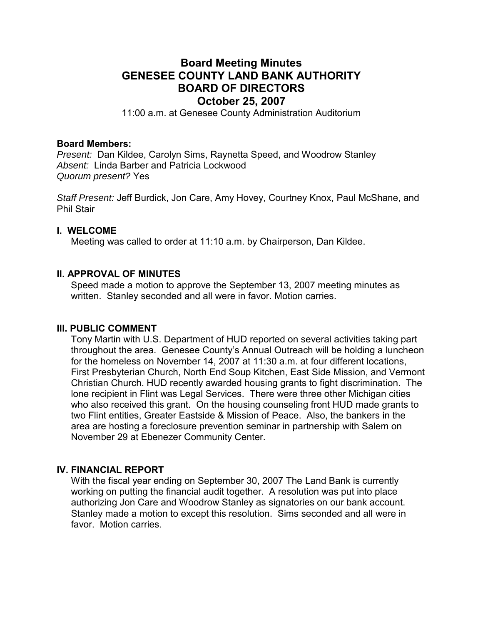# **Board Meeting Minutes GENESEE COUNTY LAND BANK AUTHORITY BOARD OF DIRECTORS October 25, 2007**

11:00 a.m. at Genesee County Administration Auditorium

#### **Board Members:**

*Present:* Dan Kildee, Carolyn Sims, Raynetta Speed, and Woodrow Stanley *Absent:* Linda Barber and Patricia Lockwood *Quorum present?* Yes

*Staff Present:* Jeff Burdick, Jon Care, Amy Hovey, Courtney Knox, Paul McShane, and Phil Stair

#### **I. WELCOME**

Meeting was called to order at 11:10 a.m. by Chairperson, Dan Kildee.

#### **II. APPROVAL OF MINUTES**

Speed made a motion to approve the September 13, 2007 meeting minutes as written. Stanley seconded and all were in favor. Motion carries.

#### **III. PUBLIC COMMENT**

Tony Martin with U.S. Department of HUD reported on several activities taking part throughout the area. Genesee County's Annual Outreach will be holding a luncheon for the homeless on November 14, 2007 at 11:30 a.m. at four different locations, First Presbyterian Church, North End Soup Kitchen, East Side Mission, and Vermont Christian Church. HUD recently awarded housing grants to fight discrimination. The lone recipient in Flint was Legal Services. There were three other Michigan cities who also received this grant. On the housing counseling front HUD made grants to two Flint entities, Greater Eastside & Mission of Peace. Also, the bankers in the area are hosting a foreclosure prevention seminar in partnership with Salem on November 29 at Ebenezer Community Center.

#### **IV. FINANCIAL REPORT**

With the fiscal year ending on September 30, 2007 The Land Bank is currently working on putting the financial audit together. A resolution was put into place authorizing Jon Care and Woodrow Stanley as signatories on our bank account. Stanley made a motion to except this resolution. Sims seconded and all were in favor. Motion carries.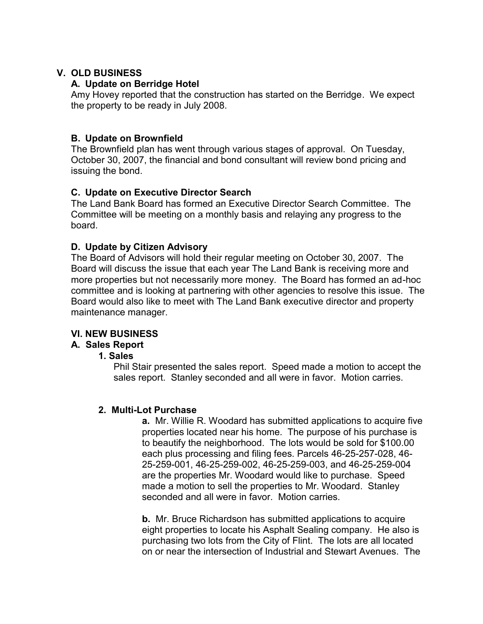# **V. OLD BUSINESS**

## **A. Update on Berridge Hotel**

Amy Hovey reported that the construction has started on the Berridge. We expect the property to be ready in July 2008.

# **B. Update on Brownfield**

The Brownfield plan has went through various stages of approval. On Tuesday, October 30, 2007, the financial and bond consultant will review bond pricing and issuing the bond.

# **C. Update on Executive Director Search**

The Land Bank Board has formed an Executive Director Search Committee. The Committee will be meeting on a monthly basis and relaying any progress to the board.

## **D. Update by Citizen Advisory**

The Board of Advisors will hold their regular meeting on October 30, 2007. The Board will discuss the issue that each year The Land Bank is receiving more and more properties but not necessarily more money. The Board has formed an ad-hoc committee and is looking at partnering with other agencies to resolve this issue. The Board would also like to meet with The Land Bank executive director and property maintenance manager.

# **VI. NEW BUSINESS**

# **A. Sales Report**

#### **1. Sales**

Phil Stair presented the sales report. Speed made a motion to accept the sales report. Stanley seconded and all were in favor. Motion carries.

#### **2. Multi-Lot Purchase**

**a.** Mr. Willie R. Woodard has submitted applications to acquire five properties located near his home. The purpose of his purchase is to beautify the neighborhood. The lots would be sold for \$100.00 each plus processing and filing fees. Parcels 46-25-257-028, 46- 25-259-001, 46-25-259-002, 46-25-259-003, and 46-25-259-004 are the properties Mr. Woodard would like to purchase. Speed made a motion to sell the properties to Mr. Woodard. Stanley seconded and all were in favor. Motion carries.

**b.** Mr. Bruce Richardson has submitted applications to acquire eight properties to locate his Asphalt Sealing company. He also is purchasing two lots from the City of Flint. The lots are all located on or near the intersection of Industrial and Stewart Avenues. The